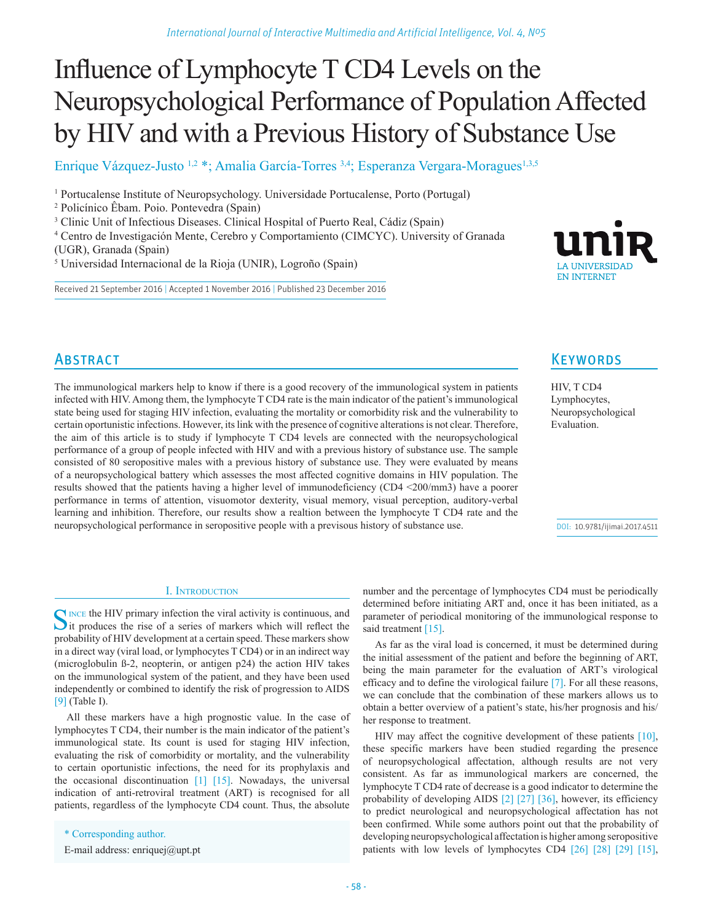# Influence of Lymphocyte T CD4 Levels on the Neuropsychological Performance of Population Affected by HIV and with a Previous History of Substance Use

Enrique Vázquez-Justo <sup>1,2</sup> \*; Amalia García-Torres <sup>3,4</sup>; Esperanza Vergara-Moragues<sup>1,3,5</sup>

<sup>1</sup> Portucalense Institute of Neuropsychology. Universidade Portucalense, Porto (Portugal)

2 Policínico Êbam. Poio. Pontevedra (Spain)

<sup>3</sup> Clinic Unit of Infectious Diseases. Clinical Hospital of Puerto Real, Cádiz (Spain)

4 Centro de Investigación Mente, Cerebro y Comportamiento (CIMCYC). University of Granada (UGR), Granada (Spain)

5 Universidad Internacional de la Rioja (UNIR), Logroño (Spain)

Received 21 September 2016 | Accepted 1 November 2016 | Published 23 December 2016



# **ABSTRACT**

The immunological markers help to know if there is a good recovery of the immunological system in patients infected with HIV. Among them, the lymphocyte T CD4 rate is the main indicator of the patient's immunological state being used for staging HIV infection, evaluating the mortality or comorbidity risk and the vulnerability to certain oportunistic infections. However, its link with the presence of cognitive alterations is not clear. Therefore, the aim of this article is to study if lymphocyte T CD4 levels are connected with the neuropsychological performance of a group of people infected with HIV and with a previous history of substance use. The sample consisted of 80 seropositive males with a previous history of substance use. They were evaluated by means of a neuropsychological battery which assesses the most affected cognitive domains in HIV population. The results showed that the patients having a higher level of immunodeficiency (CD4 <200/mm3) have a poorer performance in terms of attention, visuomotor dexterity, visual memory, visual perception, auditory-verbal learning and inhibition. Therefore, our results show a realtion between the lymphocyte T CD4 rate and the neuropsychological performance in seropositive people with a previsous history of substance use.

**KEYWORDS** 

HIV, T CD4 Lymphocytes, Neuropsychological Evaluation.

DOI: 10.9781/ijimai.2017.4511

#### I. Introduction

SINCE THE HIV primary infection the viral activity is continuous, and it produces the rise of a series of markers which will reflect the probability of HIV development at a certain speed. These markers show in a direct way (viral load, or lymphocytes T CD4) or in an indirect way (microglobulin ß-2, neopterin, or antigen p24) the action HIV takes on the immunological system of the patient, and they have been used independently or combined to identify the risk of progression to AIDS [9] (Table I).

All these markers have a high prognostic value. In the case of lymphocytes T CD4, their number is the main indicator of the patient's immunological state. Its count is used for staging HIV infection, evaluating the risk of comorbidity or mortality, and the vulnerability to certain oportunistic infections, the need for its prophylaxis and the occasional discontinuation  $\begin{bmatrix} 1 \end{bmatrix}$  [15]. Nowadays, the universal indication of anti-retroviral treatment (ART) is recognised for all patients, regardless of the lymphocyte CD4 count. Thus, the absolute

\* Corresponding author.

E-mail address: enriquej@upt.pt

number and the percentage of lymphocytes CD4 must be periodically determined before initiating ART and, once it has been initiated, as a parameter of periodical monitoring of the immunological response to said treatment [15].

As far as the viral load is concerned, it must be determined during the initial assessment of the patient and before the beginning of ART, being the main parameter for the evaluation of ART's virological efficacy and to define the virological failure [7]. For all these reasons, we can conclude that the combination of these markers allows us to obtain a better overview of a patient's state, his/her prognosis and his/ her response to treatment.

HIV may affect the cognitive development of these patients [10], these specific markers have been studied regarding the presence of neuropsychological affectation, although results are not very consistent. As far as immunological markers are concerned, the lymphocyte T CD4 rate of decrease is a good indicator to determine the probability of developing AIDS [2] [27] [36], however, its efficiency to predict neurological and neuropsychological affectation has not been confirmed. While some authors point out that the probability of developing neuropsychological affectation is higher among seropositive patients with low levels of lymphocytes CD4 [26] [28] [29] [15],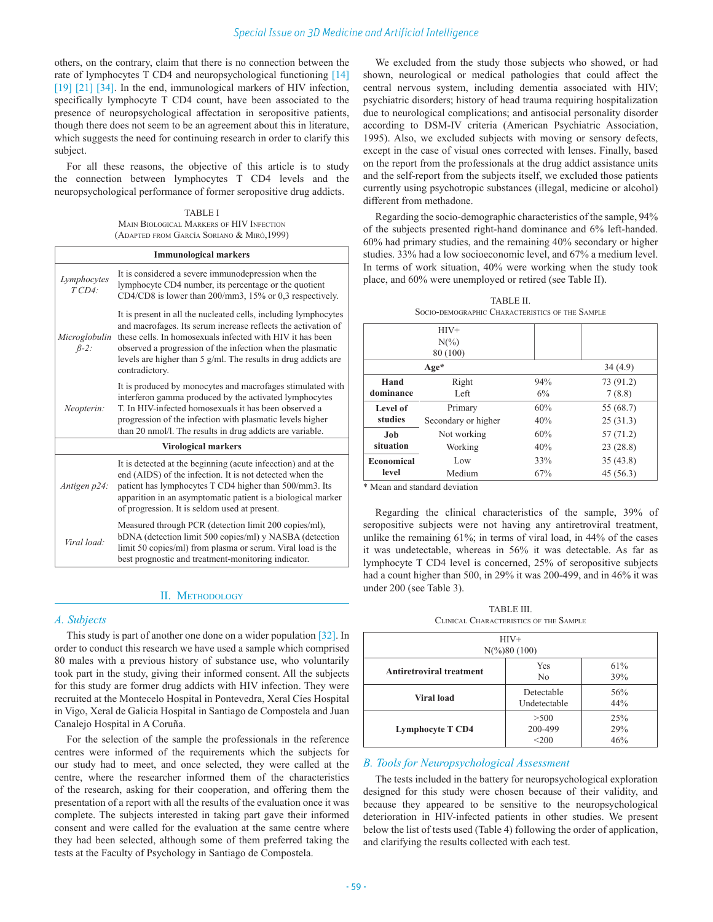others, on the contrary, claim that there is no connection between the rate of lymphocytes T CD4 and neuropsychological functioning [14] [19] [21] [34]. In the end, immunological markers of HIV infection, specifically lymphocyte T CD4 count, have been associated to the presence of neuropsychological affectation in seropositive patients, though there does not seem to be an agreement about this in literature, which suggests the need for continuing research in order to clarify this subject.

For all these reasons, the objective of this article is to study the connection between lymphocytes T CD4 levels and the neuropsychological performance of former seropositive drug addicts.

TABLE I Main Biological Markers of HIV Infection (Adapted from García Soriano & Miró,1999)

| <b>Immunological markers</b> |                                                                                                                                                                                                                                                                                                                                                   |  |  |
|------------------------------|---------------------------------------------------------------------------------------------------------------------------------------------------------------------------------------------------------------------------------------------------------------------------------------------------------------------------------------------------|--|--|
| Lymphocytes<br>TCD4          | It is considered a severe immunodepression when the<br>lymphocyte CD4 number, its percentage or the quotient<br>CD4/CD8 is lower than 200/mm3, 15% or 0,3 respectively.                                                                                                                                                                           |  |  |
| Microglobulin<br>$\beta$ -2: | It is present in all the nucleated cells, including lymphocytes<br>and macrofages. Its serum increase reflects the activation of<br>these cells. In homosexuals infected with HIV it has been<br>observed a progression of the infection when the plasmatic<br>levels are higher than $5$ g/ml. The results in drug addicts are<br>contradictory. |  |  |
| Neopterin:                   | It is produced by monocytes and macrofages stimulated with<br>interferon gamma produced by the activated lymphocytes<br>T. In HIV-infected homosexuals it has been observed a<br>progression of the infection with plasmatic levels higher<br>than 20 nmol/l. The results in drug addicts are variable.                                           |  |  |
| <b>Virological markers</b>   |                                                                                                                                                                                                                                                                                                                                                   |  |  |
| Antigen p24:                 | It is detected at the beginning (acute infecction) and at the<br>end (AIDS) of the infection. It is not detected when the<br>patient has lymphocytes T CD4 higher than 500/mm3. Its<br>apparition in an asymptomatic patient is a biological marker<br>of progression. It is seldom used at present.                                              |  |  |
| Viral load:                  | Measured through PCR (detection limit 200 copies/ml),<br>bDNA (detection limit 500 copies/ml) y NASBA (detection<br>limit 50 copies/ml) from plasma or serum. Viral load is the<br>best prognostic and treatment-monitoring indicator.                                                                                                            |  |  |

#### II. Methodology

#### *A. Subjects*

This study is part of another one done on a wider population [32]. In order to conduct this research we have used a sample which comprised 80 males with a previous history of substance use, who voluntarily took part in the study, giving their informed consent. All the subjects for this study are former drug addicts with HIV infection. They were recruited at the Montecelo Hospital in Pontevedra, Xeral Cíes Hospital in Vigo, Xeral de Galicia Hospital in Santiago de Compostela and Juan Canalejo Hospital in A Coruña.

For the selection of the sample the professionals in the reference centres were informed of the requirements which the subjects for our study had to meet, and once selected, they were called at the centre, where the researcher informed them of the characteristics of the research, asking for their cooperation, and offering them the presentation of a report with all the results of the evaluation once it was complete. The subjects interested in taking part gave their informed consent and were called for the evaluation at the same centre where they had been selected, although some of them preferred taking the tests at the Faculty of Psychology in Santiago de Compostela.

We excluded from the study those subjects who showed, or had shown, neurological or medical pathologies that could affect the central nervous system, including dementia associated with HIV; psychiatric disorders; history of head trauma requiring hospitalization due to neurological complications; and antisocial personality disorder according to DSM-IV criteria (American Psychiatric Association, 1995). Also, we excluded subjects with moving or sensory defects, except in the case of visual ones corrected with lenses. Finally, based on the report from the professionals at the drug addict assistance units and the self-report from the subjects itself, we excluded those patients currently using psychotropic substances (illegal, medicine or alcohol) different from methadone.

Regarding the socio-demographic characteristics of the sample, 94% of the subjects presented right-hand dominance and 6% left-handed. 60% had primary studies, and the remaining 40% secondary or higher studies. 33% had a low socioeconomic level, and 67% a medium level. In terms of work situation, 40% were working when the study took place, and 60% were unemployed or retired (see Table II).

|                     | SOCIO-DEMOGRAPHIC CHARACTERISTICS OF THE SAMPLE |     |           |
|---------------------|-------------------------------------------------|-----|-----------|
| $HIV+$<br>$N(\%)$   |                                                 |     |           |
|                     |                                                 |     |           |
|                     | 80 (100)                                        |     |           |
| $Age*$              |                                                 |     | 34(4.9)   |
| Hand                | Right                                           | 94% | 73 (91.2) |
| dominance           | Left                                            | 6%  | 7(8.8)    |
| Level of<br>studies | Primary                                         | 60% | 55 (68.7) |
|                     | Secondary or higher                             | 40% | 25(31.3)  |
| Job                 | Not working                                     | 60% | 57(71.2)  |
| situation           | Working                                         | 40% | 23(28.8)  |

Low  $33\%$   $35(43.8)$ Medium 67% 45 (56.3)

TABLE II.

\* Mean and standard deviation

**Economical level**

Regarding the clinical characteristics of the sample, 39% of seropositive subjects were not having any antiretroviral treatment, unlike the remaining 61%; in terms of viral load, in 44% of the cases it was undetectable, whereas in 56% it was detectable. As far as lymphocyte T CD4 level is concerned, 25% of seropositive subjects had a count higher than 500, in 29% it was 200-499, and in 46% it was under 200 (see Table 3).

TABLE III. Clinical Characteristics of the Sample

| $HIV+$<br>$N\left(\frac{9}{6}\right)80(100)$ |                            |                   |  |  |  |
|----------------------------------------------|----------------------------|-------------------|--|--|--|
| <b>Antiretroviral treatment</b>              | Yes<br>N <sub>0</sub>      | 61%<br>39%        |  |  |  |
| Viral load                                   | Detectable<br>Undetectable | 56%<br>44%        |  |  |  |
| <b>Lymphocyte T CD4</b>                      | >500<br>200-499<br>$<$ 200 | 25%<br>29%<br>46% |  |  |  |

## *B. Tools for Neuropsychological Assessment*

The tests included in the battery for neuropsychological exploration designed for this study were chosen because of their validity, and because they appeared to be sensitive to the neuropsychological deterioration in HIV-infected patients in other studies. We present below the list of tests used (Table 4) following the order of application, and clarifying the results collected with each test.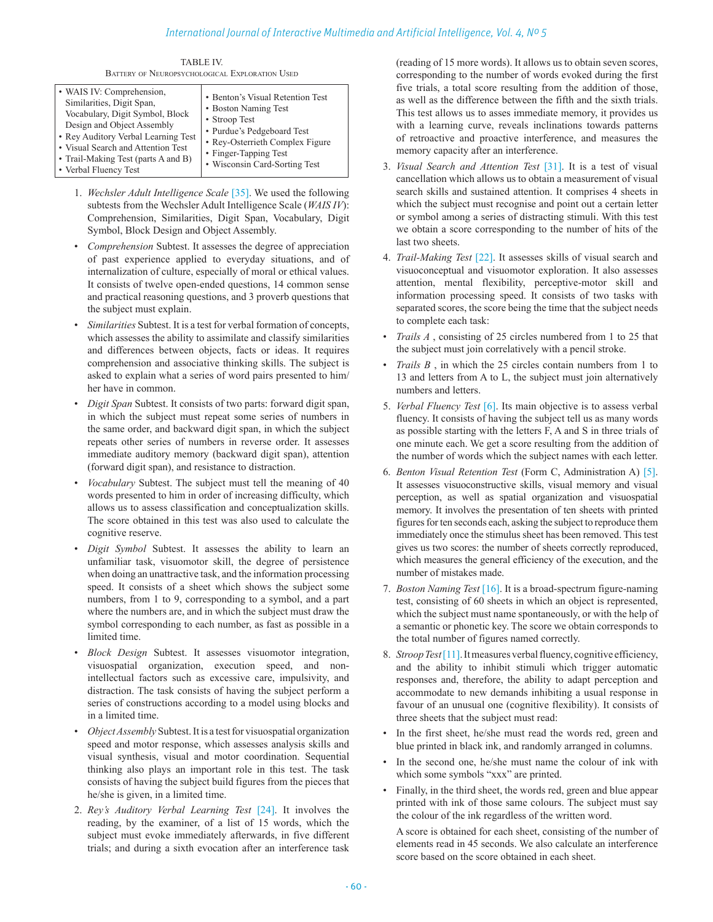## *International Journal of Interactive Multimedia and Artificial Intelligence, Vol. 4, Nº 5*

TABLE IV. Battery of Neuropsychological Exploration Used

| • WAIS IV: Comprehension,<br>Similarities, Digit Span,<br>Vocabulary, Digit Symbol, Block<br>Design and Object Assembly<br>• Rey Auditory Verbal Learning Test<br>• Visual Search and Attention Test<br>• Trail-Making Test (parts A and B)<br>• Verbal Fluency Test | • Benton's Visual Retention Test<br>• Boston Naming Test<br>• Stroop Test<br>• Purdue's Pedgeboard Test<br>• Rev-Osterrieth Complex Figure<br>• Finger-Tapping Test<br>• Wisconsin Card-Sorting Test |
|----------------------------------------------------------------------------------------------------------------------------------------------------------------------------------------------------------------------------------------------------------------------|------------------------------------------------------------------------------------------------------------------------------------------------------------------------------------------------------|
|----------------------------------------------------------------------------------------------------------------------------------------------------------------------------------------------------------------------------------------------------------------------|------------------------------------------------------------------------------------------------------------------------------------------------------------------------------------------------------|

- 1. *Wechsler Adult Intelligence Scale* [35]. We used the following subtests from the Wechsler Adult Intelligence Scale (*WAIS IV*): Comprehension, Similarities, Digit Span, Vocabulary, Digit Symbol, Block Design and Object Assembly.
- *Comprehension* Subtest. It assesses the degree of appreciation of past experience applied to everyday situations, and of internalization of culture, especially of moral or ethical values. It consists of twelve open-ended questions, 14 common sense and practical reasoning questions, and 3 proverb questions that the subject must explain.
- *Similarities* Subtest. It is a test for verbal formation of concepts, which assesses the ability to assimilate and classify similarities and differences between objects, facts or ideas. It requires comprehension and associative thinking skills. The subject is asked to explain what a series of word pairs presented to him/ her have in common.
- *Digit Span* Subtest. It consists of two parts: forward digit span, in which the subject must repeat some series of numbers in the same order, and backward digit span, in which the subject repeats other series of numbers in reverse order. It assesses immediate auditory memory (backward digit span), attention (forward digit span), and resistance to distraction.
- *Vocabulary* Subtest. The subject must tell the meaning of 40 words presented to him in order of increasing difficulty, which allows us to assess classification and conceptualization skills. The score obtained in this test was also used to calculate the cognitive reserve.
- *Digit Symbol* Subtest. It assesses the ability to learn an unfamiliar task, visuomotor skill, the degree of persistence when doing an unattractive task, and the information processing speed. It consists of a sheet which shows the subject some numbers, from 1 to 9, corresponding to a symbol, and a part where the numbers are, and in which the subject must draw the symbol corresponding to each number, as fast as possible in a limited time.
- *Block Design* Subtest. It assesses visuomotor integration, visuospatial organization, execution speed, and nonintellectual factors such as excessive care, impulsivity, and distraction. The task consists of having the subject perform a series of constructions according to a model using blocks and in a limited time.
- *Object Assembly* Subtest. It is a test for visuospatial organization speed and motor response, which assesses analysis skills and visual synthesis, visual and motor coordination. Sequential thinking also plays an important role in this test. The task consists of having the subject build figures from the pieces that he/she is given, in a limited time.
- 2. *Rey's Auditory Verbal Learning Test* [24]. It involves the reading, by the examiner, of a list of 15 words, which the subject must evoke immediately afterwards, in five different trials; and during a sixth evocation after an interference task

(reading of 15 more words). It allows us to obtain seven scores, corresponding to the number of words evoked during the first five trials, a total score resulting from the addition of those, as well as the difference between the fifth and the sixth trials. This test allows us to asses immediate memory, it provides us with a learning curve, reveals inclinations towards patterns of retroactive and proactive interference, and measures the memory capacity after an interference.

- 3. *Visual Search and Attention Test* [31]. It is a test of visual cancellation which allows us to obtain a measurement of visual search skills and sustained attention. It comprises 4 sheets in which the subject must recognise and point out a certain letter or symbol among a series of distracting stimuli. With this test we obtain a score corresponding to the number of hits of the last two sheets.
- 4. *Trail-Making Test* [22]. It assesses skills of visual search and visuoconceptual and visuomotor exploration. It also assesses attention, mental flexibility, perceptive-motor skill and information processing speed. It consists of two tasks with separated scores, the score being the time that the subject needs to complete each task:
- *Trails A* , consisting of 25 circles numbered from 1 to 25 that the subject must join correlatively with a pencil stroke.
- *Trails B* , in which the 25 circles contain numbers from 1 to 13 and letters from A to L, the subject must join alternatively numbers and letters.
- 5. *Verbal Fluency Test* [6]. Its main objective is to assess verbal fluency. It consists of having the subject tell us as many words as possible starting with the letters F, A and S in three trials of one minute each. We get a score resulting from the addition of the number of words which the subject names with each letter.
- 6. *Benton Visual Retention Test* (Form C, Administration A) [5]. It assesses visuoconstructive skills, visual memory and visual perception, as well as spatial organization and visuospatial memory. It involves the presentation of ten sheets with printed figures for ten seconds each, asking the subject to reproduce them immediately once the stimulus sheet has been removed. This test gives us two scores: the number of sheets correctly reproduced, which measures the general efficiency of the execution, and the number of mistakes made.
- 7. *Boston Naming Test* [16]. It is a broad-spectrum figure-naming test, consisting of 60 sheets in which an object is represented, which the subject must name spontaneously, or with the help of a semantic or phonetic key. The score we obtain corresponds to the total number of figures named correctly.
- 8. *Stroop Test* [11]. It measures verbal fluency, cognitive efficiency, and the ability to inhibit stimuli which trigger automatic responses and, therefore, the ability to adapt perception and accommodate to new demands inhibiting a usual response in favour of an unusual one (cognitive flexibility). It consists of three sheets that the subject must read:
- In the first sheet, he/she must read the words red, green and blue printed in black ink, and randomly arranged in columns.
- In the second one, he/she must name the colour of ink with which some symbols "xxx" are printed.
- Finally, in the third sheet, the words red, green and blue appear printed with ink of those same colours. The subject must say the colour of the ink regardless of the written word.

A score is obtained for each sheet, consisting of the number of elements read in 45 seconds. We also calculate an interference score based on the score obtained in each sheet.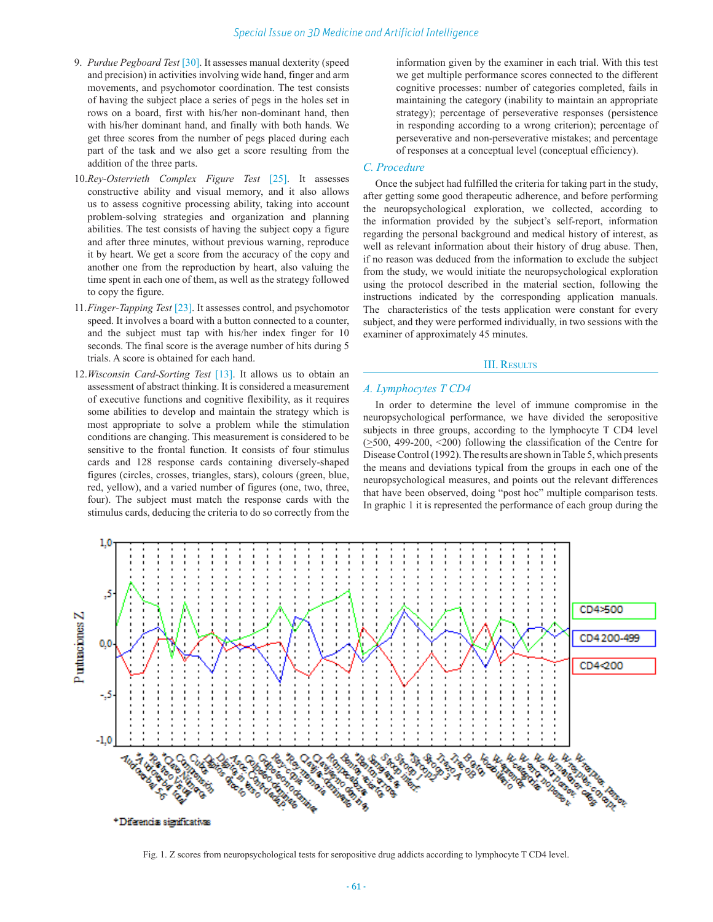- 9. *Purdue Pegboard Test* [30]. It assesses manual dexterity (speed and precision) in activities involving wide hand, finger and arm movements, and psychomotor coordination. The test consists of having the subject place a series of pegs in the holes set in rows on a board, first with his/her non-dominant hand, then with his/her dominant hand, and finally with both hands. We get three scores from the number of pegs placed during each part of the task and we also get a score resulting from the addition of the three parts.
- 10.*Rey-Osterrieth Complex Figure Test* [25]. It assesses constructive ability and visual memory, and it also allows us to assess cognitive processing ability, taking into account problem-solving strategies and organization and planning abilities. The test consists of having the subject copy a figure and after three minutes, without previous warning, reproduce it by heart. We get a score from the accuracy of the copy and another one from the reproduction by heart, also valuing the time spent in each one of them, as well as the strategy followed to copy the figure.
- 11.*Finger-Tapping Test* [23]. It assesses control, and psychomotor speed. It involves a board with a button connected to a counter, and the subject must tap with his/her index finger for 10 seconds. The final score is the average number of hits during 5 trials. A score is obtained for each hand.
- 12.*Wisconsin Card-Sorting Test* [13]. It allows us to obtain an assessment of abstract thinking. It is considered a measurement of executive functions and cognitive flexibility, as it requires some abilities to develop and maintain the strategy which is most appropriate to solve a problem while the stimulation conditions are changing. This measurement is considered to be sensitive to the frontal function. It consists of four stimulus cards and 128 response cards containing diversely-shaped figures (circles, crosses, triangles, stars), colours (green, blue, red, yellow), and a varied number of figures (one, two, three, four). The subject must match the response cards with the stimulus cards, deducing the criteria to do so correctly from the

information given by the examiner in each trial. With this test we get multiple performance scores connected to the different cognitive processes: number of categories completed, fails in maintaining the category (inability to maintain an appropriate strategy); percentage of perseverative responses (persistence in responding according to a wrong criterion); percentage of perseverative and non-perseverative mistakes; and percentage of responses at a conceptual level (conceptual efficiency).

#### *C. Procedure*

Once the subject had fulfilled the criteria for taking part in the study, after getting some good therapeutic adherence, and before performing the neuropsychological exploration, we collected, according to the information provided by the subject's self-report, information regarding the personal background and medical history of interest, as well as relevant information about their history of drug abuse. Then, if no reason was deduced from the information to exclude the subject from the study, we would initiate the neuropsychological exploration using the protocol described in the material section, following the instructions indicated by the corresponding application manuals. The characteristics of the tests application were constant for every subject, and they were performed individually, in two sessions with the examiner of approximately 45 minutes.

#### III. Results

#### *A. Lymphocytes T CD4*

In order to determine the level of immune compromise in the neuropsychological performance, we have divided the seropositive subjects in three groups, according to the lymphocyte T CD4 level  $(\geq 500, 499-200, \leq 200)$  following the classification of the Centre for Disease Control (1992). The results are shown in Table 5, which presents the means and deviations typical from the groups in each one of the neuropsychological measures, and points out the relevant differences that have been observed, doing "post hoc" multiple comparison tests. In graphic 1 it is represented the performance of each group during the



Fig. 1. Z scores from neuropsychological tests for seropositive drug addicts according to lymphocyte T CD4 level.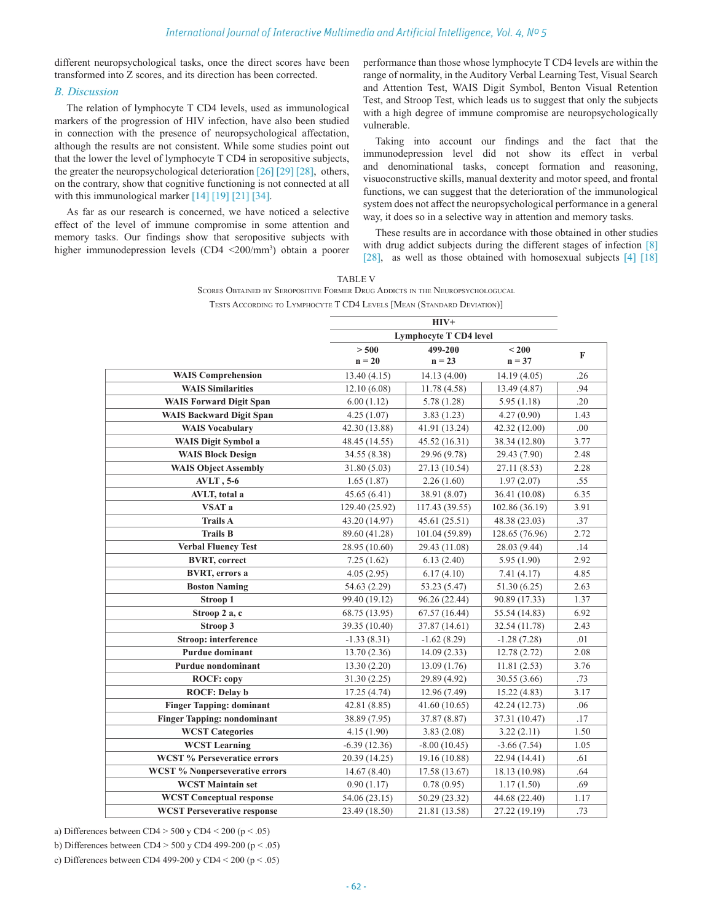different neuropsychological tasks, once the direct scores have been transformed into Z scores, and its direction has been corrected.

#### *B. Discussion*

The relation of lymphocyte T CD4 levels, used as immunological markers of the progression of HIV infection, have also been studied in connection with the presence of neuropsychological affectation, although the results are not consistent. While some studies point out that the lower the level of lymphocyte T CD4 in seropositive subjects, the greater the neuropsychological deterioration [26] [29] [28], others, on the contrary, show that cognitive functioning is not connected at all with this immunological marker  $[14] [19] [21] [34]$ .

As far as our research is concerned, we have noticed a selective effect of the level of immune compromise in some attention and memory tasks. Our findings show that seropositive subjects with higher immunodepression levels (CD4 <200/mm<sup>3</sup>) obtain a poorer performance than those whose lymphocyte T CD4 levels are within the range of normality, in the Auditory Verbal Learning Test, Visual Search and Attention Test, WAIS Digit Symbol, Benton Visual Retention Test, and Stroop Test, which leads us to suggest that only the subjects with a high degree of immune compromise are neuropsychologically vulnerable.

Taking into account our findings and the fact that the immunodepression level did not show its effect in verbal and denominational tasks, concept formation and reasoning, visuoconstructive skills, manual dexterity and motor speed, and frontal functions, we can suggest that the deterioration of the immunological system does not affect the neuropsychological performance in a general way, it does so in a selective way in attention and memory tasks.

These results are in accordance with those obtained in other studies with drug addict subjects during the different stages of infection [8] [28], as well as those obtained with homosexual subjects [4] [18]

| <b>TABLE V</b>                                                                |  |  |  |
|-------------------------------------------------------------------------------|--|--|--|
| SCORES OBTAINED BY SEROPOSITIVE FORMER DRUG ADDICTS IN THE NEUROPSYCHOLOGUCAL |  |  |  |
| TESTS ACCORDING TO LYMPHOCYTE T CD4 LEVELS [MEAN (STANDARD DEVIATION)]        |  |  |  |

|                                       | $HIV+$                        |                |                |             |
|---------------------------------------|-------------------------------|----------------|----------------|-------------|
|                                       | <b>Lymphocyte T CD4 level</b> |                |                |             |
|                                       | > 500                         | 499-200        | $200$          | $\mathbf F$ |
|                                       | $n = 20$                      | $n = 23$       | $n = 37$       |             |
| <b>WAIS Comprehension</b>             | 13.40(4.15)                   | 14.13(4.00)    | 14.19(4.05)    | .26         |
| <b>WAIS Similarities</b>              | 12.10(6.08)                   | 11.78(4.58)    | 13.49 (4.87)   | .94         |
| <b>WAIS Forward Digit Span</b>        | 6.00(1.12)                    | 5.78(1.28)     | 5.95(1.18)     | .20         |
| <b>WAIS Backward Digit Span</b>       | 4.25(1.07)                    | 3.83(1.23)     | 4.27(0.90)     | 1.43        |
| <b>WAIS Vocabulary</b>                | 42.30 (13.88)                 | 41.91 (13.24)  | 42.32 (12.00)  | .00         |
| <b>WAIS Digit Symbol a</b>            | 48.45 (14.55)                 | 45.52 (16.31)  | 38.34 (12.80)  | 3.77        |
| <b>WAIS Block Design</b>              | 34.55 (8.38)                  | 29.96 (9.78)   | 29.43 (7.90)   | 2.48        |
| <b>WAIS Object Assembly</b>           | 31.80(5.03)                   | 27.13 (10.54)  | 27.11 (8.53)   | 2.28        |
| <b>AVLT</b> , 5-6                     | 1.65(1.87)                    | 2.26(1.60)     | 1.97(2.07)     | .55         |
| AVLT, total a                         | 45.65(6.41)                   | 38.91 (8.07)   | 36.41 (10.08)  | 6.35        |
| VSAT a                                | 129.40 (25.92)                | 117.43 (39.55) | 102.86 (36.19) | 3.91        |
| <b>Trails A</b>                       | 43.20 (14.97)                 | 45.61 (25.51)  | 48.38 (23.03)  | .37         |
| <b>Trails B</b>                       | 89.60 (41.28)                 | 101.04 (59.89) | 128.65 (76.96) | 2.72        |
| <b>Verbal Fluency Test</b>            | 28.95 (10.60)                 | 29.43 (11.08)  | 28.03 (9.44)   | .14         |
| <b>BVRT, correct</b>                  | 7.25(1.62)                    | 6.13(2.40)     | 5.95 (1.90)    | 2.92        |
| <b>BVRT, errors a</b>                 | 4.05(2.95)                    | 6.17(4.10)     | 7.41 (4.17)    | 4.85        |
| <b>Boston Naming</b>                  | 54.63 (2.29)                  | 53.23 (5.47)   | 51.30 (6.25)   | 2.63        |
| Stroop 1                              | 99.40 (19.12)                 | 96.26 (22.44)  | 90.89 (17.33)  | 1.37        |
| Stroop 2 a, c                         | 68.75 (13.95)                 | 67.57 (16.44)  | 55.54 (14.83)  | 6.92        |
| Stroop 3                              | 39.35 (10.40)                 | 37.87 (14.61)  | 32.54 (11.78)  | 2.43        |
| <b>Stroop:</b> interference           | $-1.33(8.31)$                 | $-1.62(8.29)$  | $-1.28(7.28)$  | .01         |
| <b>Purdue dominant</b>                | 13.70(2.36)                   | 14.09(2.33)    | 12.78(2.72)    | 2.08        |
| Purdue nondominant                    | 13.30(2.20)                   | 13.09(1.76)    | 11.81(2.53)    | 3.76        |
| <b>ROCF: copy</b>                     | 31.30(2.25)                   | 29.89 (4.92)   | 30.55 (3.66)   | .73         |
| <b>ROCF: Delay b</b>                  | 17.25(4.74)                   | 12.96 (7.49)   | 15.22(4.83)    | 3.17        |
| <b>Finger Tapping: dominant</b>       | 42.81 (8.85)                  | 41.60(10.65)   | 42.24 (12.73)  | .06         |
| <b>Finger Tapping: nondominant</b>    | 38.89 (7.95)                  | 37.87 (8.87)   | 37.31 (10.47)  | .17         |
| <b>WCST Categories</b>                | 4.15(1.90)                    | 3.83(2.08)     | 3.22(2.11)     | 1.50        |
| <b>WCST Learning</b>                  | $-6.39(12.36)$                | $-8.00(10.45)$ | $-3.66(7.54)$  | 1.05        |
| <b>WCST % Perseveratice errors</b>    | 20.39 (14.25)                 | 19.16 (10.88)  | 22.94 (14.41)  | .61         |
| <b>WCST % Nonperseverative errors</b> | 14.67(8.40)                   | 17.58 (13.67)  | 18.13 (10.98)  | .64         |
| <b>WCST Maintain set</b>              | 0.90(1.17)                    | 0.78(0.95)     | 1.17(1.50)     | .69         |
| <b>WCST Conceptual response</b>       | 54.06 (23.15)                 | 50.29 (23.32)  | 44.68 (22.40)  | 1.17        |
| <b>WCST Perseverative response</b>    | 23.49 (18.50)                 | 21.81 (13.58)  | 27.22 (19.19)  | .73         |

a) Differences between  $CD4 > 500$  y  $CD4 < 200$  (p  $< .05$ )

b) Differences between CD4 > 500 y CD4 499-200 (p < .05)

c) Differences between CD4 499-200 y CD4 < 200 ( $p < .05$ )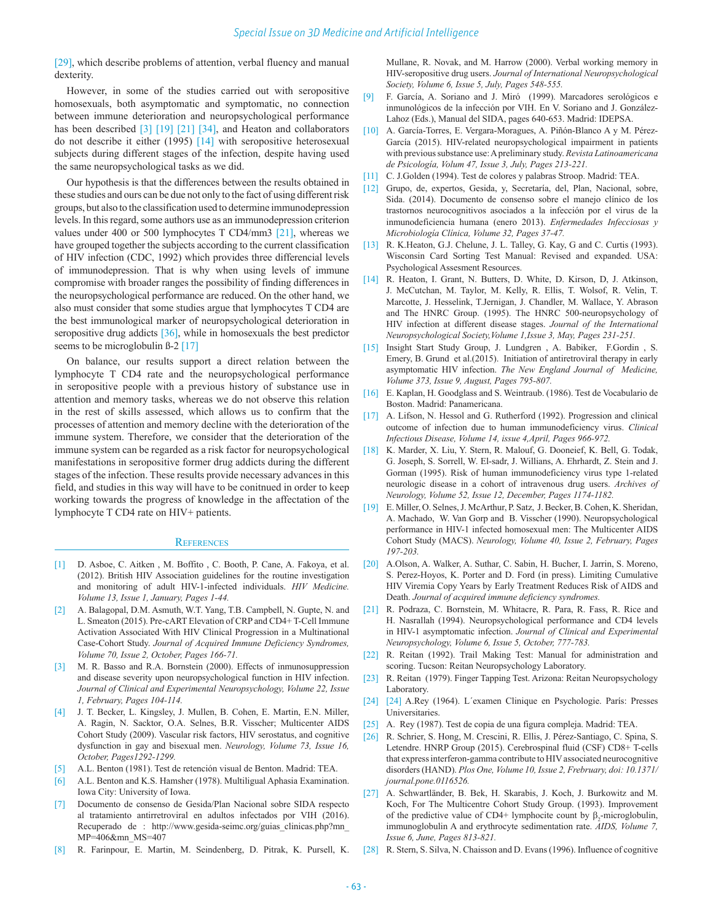[29], which describe problems of attention, verbal fluency and manual dexterity.

However, in some of the studies carried out with seropositive homosexuals, both asymptomatic and symptomatic, no connection between immune deterioration and neuropsychological performance has been described [3] [19] [21] [34], and Heaton and collaborators do not describe it either (1995) [14] with seropositive heterosexual subjects during different stages of the infection, despite having used the same neuropsychological tasks as we did.

Our hypothesis is that the differences between the results obtained in these studies and ours can be due not only to the fact of using different risk groups, but also to the classification used to determine immunodepression levels. In this regard, some authors use as an immunodepression criterion values under 400 or 500 lymphocytes T CD4/mm3 [21], whereas we have grouped together the subjects according to the current classification of HIV infection (CDC, 1992) which provides three differencial levels of immunodepression. That is why when using levels of immune compromise with broader ranges the possibility of finding differences in the neuropsychological performance are reduced. On the other hand, we also must consider that some studies argue that lymphocytes T CD4 are the best immunological marker of neuropsychological deterioration in seropositive drug addicts [36], while in homosexuals the best predictor seems to be microglobulin  $\beta$ -2 [17]

On balance, our results support a direct relation between the lymphocyte T CD4 rate and the neuropsychological performance in seropositive people with a previous history of substance use in attention and memory tasks, whereas we do not observe this relation in the rest of skills assessed, which allows us to confirm that the processes of attention and memory decline with the deterioration of the immune system. Therefore, we consider that the deterioration of the immune system can be regarded as a risk factor for neuropsychological manifestations in seropositive former drug addicts during the different stages of the infection. These results provide necessary advances in this field, and studies in this way will have to be conitnued in order to keep working towards the progress of knowledge in the affectation of the lymphocyte T CD4 rate on HIV+ patients.

#### **REFERENCES**

- [1] D. Asboe, C. Aitken , M. Boffito , C. Booth, P. Cane, A. Fakoya, et al. (2012). British HIV Association guidelines for the routine investigation and monitoring of adult HIV-1-infected individuals. *HIV Medicine. Volume 13, Issue 1, January, Pages 1-44.*
- [2] A. Balagopal, D.M. Asmuth, W.T. Yang, T.B. Campbell, N. Gupte, N. and L. Smeaton (2015). Pre-cART Elevation of CRP and CD4+ T-Cell Immune Activation Associated With HIV Clinical Progression in a Multinational Case-Cohort Study. *Journal of Acquired Immune Deficiency Syndromes, Volume 70, Issue 2, October, Pages 166-71.*
- [3] M. R. Basso and R.A. Bornstein (2000). Effects of inmunosuppression and disease severity upon neuropsychological function in HIV infection. *Journal of Clinical and Experimental Neuropsychology, Volume 22, Issue 1, February, Pages 104-114.*
- [4] J. T. Becker, L. Kingsley, J. Mullen, B. Cohen, E. Martin, E.N. Miller, A. Ragin, N. Sacktor, O.A. Selnes, B.R. Visscher; Multicenter AIDS Cohort Study (2009). Vascular risk factors, HIV serostatus, and cognitive dysfunction in gay and bisexual men. *Neurology, Volume 73, Issue 16, October, Pages1292-1299.*
- [5] A.L. Benton (1981). Test de retención visual de Benton. Madrid: TEA.
- [6] A.L. Benton and K.S. Hamsher (1978). Multiligual Aphasia Examination. Iowa City: University of Iowa.
- [7] Documento de consenso de Gesida/Plan Nacional sobre SIDA respecto al tratamiento antirretroviral en adultos infectados por VIH (2016). Recuperado de : http://www.gesida-seimc.org/guias\_clinicas.php?mn\_ MP=406&mn\_MS=407
- [8] R. Farinpour, E. Martin, M. Seindenberg, D. Pitrak, K. Pursell, K.

Mullane, R. Novak, and M. Harrow (2000). Verbal working memory in HIV-seropositive drug users. *Journal of International Neuropsychological Society, Volume 6, Issue 5, July, Pages 548-555.*

- [9] F. García, A. Soriano and J. Miró (1999). Marcadores serológicos e inmunológicos de la infección por VIH. En V. Soriano and J. González-Lahoz (Eds.), Manual del SIDA, pages 640-653. Madrid: IDEPSA.
- [10] A. García-Torres, E. Vergara-Moragues, A. Piñón-Blanco A y M. Pérez-García (2015). HIV-related neuropsychological impairment in patients with previous substance use: A preliminary study. *Revista Latinoamericana de Psicología, Volum 47, Issue 3, July, Pages 213-221.*
- [11] C. J.Golden (1994). Test de colores y palabras Stroop. Madrid: TEA.
- [12] Grupo, de, expertos, Gesida, y, Secretaría, del, Plan, Nacional, sobre, Sida. (2014). Documento de consenso sobre el manejo clínico de los trastornos neurocognitivos asociados a la infección por el virus de la inmunodeficiencia humana (enero 2013). *Enfermedades Infecciosas y Microbiología Clínica, Volume 32, Pages 37-47.*
- [13] R. K.Heaton, G.J. Chelune, J. L. Talley, G. Kay, G and C. Curtis (1993). Wisconsin Card Sorting Test Manual: Revised and expanded. USA: Psychological Assesment Resources.
- [14] R. Heaton, I. Grant, N. Butters, D. White, D. Kirson, D, J. Atkinson, J. McCutchan, M. Taylor, M. Kelly, R. Ellis, T. Wolsof, R. Velin, T. Marcotte, J. Hesselink, T.Jernigan, J. Chandler, M. Wallace, Y. Abrason and The HNRC Group. (1995). The HNRC 500-neuropsychology of HIV infection at different disease stages. *Journal of the International Neuropsychological Society,Volume 1,Issue 3, May, Pages 231-251.*
- [15] Insight Start Study Group, J. Lundgren , A. Babiker, F.Gordin , S. Emery, B. Grund et al.(2015). Initiation of antiretroviral therapy in early asymptomatic HIV infection. *The New England Journal of Medicine, Volume 373, Issue 9, August, Pages 795-807.*
- [16] E. Kaplan, H. Goodglass and S. Weintraub. (1986). Test de Vocabulario de Boston. Madrid: Panamericana.
- [17] A. Lifson, N. Hessol and G. Rutherford (1992). Progression and clinical outcome of infection due to human immunodeficiency virus. *Clinical Infectious Disease, Volume 14, issue 4,April, Pages 966-972.*
- [18] K. Marder, X. Liu, Y. Stern, R. Malouf, G. Dooneief, K. Bell, G. Todak, G. Joseph, S. Sorrell, W. El-sadr, J. Willians, A. Ehrhardt, Z. Stein and J. Gorman (1995). Risk of human immunodeficiency virus type 1-related neurologic disease in a cohort of intravenous drug users. *Archives of Neurology, Volume 52, Issue 12, December, Pages 1174-1182.*
- [19] E. Miller, O. Selnes, J. McArthur, P. Satz, J. Becker, B. Cohen, K. Sheridan, A. Machado, W. Van Gorp and B. Visscher (1990). Neuropsychological performance in HIV-1 infected homosexual men: The Multicenter AIDS Cohort Study (MACS). *Neurology, Volume 40, Issue 2, February, Pages 197-203.*
- [20] A.Olson, A. Walker, A. Suthar, C. Sabin, H. Bucher, I. Jarrin, S. Moreno, S. Perez-Hoyos, K. Porter and D. Ford (in press). Limiting Cumulative HIV Viremia Copy Years by Early Treatment Reduces Risk of AIDS and Death. *Journal of acquired immune deficiency syndromes.*
- [21] R. Podraza, C. Bornstein, M. Whitacre, R. Para, R. Fass, R. Rice and H. Nasrallah (1994). Neuropsychological performance and CD4 levels in HIV-1 asymptomatic infection. *Journal of Clinical and Experimental Neuropsychology, Volume 6, Issue 5, October, 777-783.*
- [22] R. Reitan (1992). Trail Making Test: Manual for administration and scoring. Tucson: Reitan Neuropsychology Laboratory.
- [23] R. Reitan (1979). Finger Tapping Test. Arizona: Reitan Neuropsychology Laboratory.
- [24] [24] A.Rey (1964). L´examen Clinique en Psychologie. París: Presses Universitaries.
- [25] A. Rey (1987). Test de copia de una figura compleja. Madrid: TEA.
- [26] R. Schrier, S. Hong, M. Crescini, R. Ellis, J. Pérez-Santiago, C. Spina, S. Letendre. HNRP Group (2015). Cerebrospinal fluid (CSF) CD8+ T-cells that express interferon-gamma contribute to HIV associated neurocognitive disorders (HAND). *Plos One, Volume 10, Issue 2, Frebruary, doi: 10.1371/ journal.pone.0116526.*
- [27] A. Schwartländer, B. Bek, H. Skarabis, J. Koch, J. Burkowitz and M. Koch, For The Multicentre Cohort Study Group. (1993). Improvement of the predictive value of CD4+ lymphocite count by  $\beta_2$ -microglobulin, immunoglobulin A and erythrocyte sedimentation rate. *AIDS, Volume 7, Issue 6, June, Pages 813-821.*
- [28] R. Stern, S. Silva, N. Chaisson and D. Evans (1996). Influence of cognitive